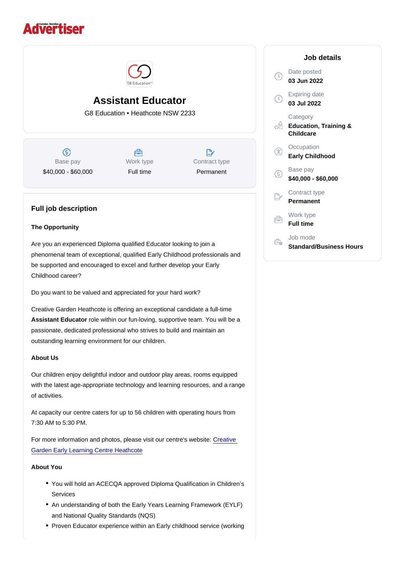# Assistant Educator

G8 Education • Heathcote NSW 2233

Base pay \$40,000 - \$60,000 Work type Full time

Contract type Permanent

# Full job description

# The Opportunity

Are you an experienced Diploma qualified Educator looking to join a phenomenal team of exceptional, qualified Early Childhood professionals and be supported and encouraged to excel and further develop your Early Childhood career?

Do you want to be valued and appreciated for your hard work?

Creative Garden Heathcote is offering an exceptional candidate a full-time Assistant Educator role within our fun-loving, supportive team. You will be a passionate, dedicated professional who strives to build and maintain an outstanding learning environment for our children.

# About Us

Our children enjoy delightful indoor and outdoor play areas, rooms equipped with the latest age-appropriate technology and learning resources, and a range of activities.

At capacity our centre caters for up to 56 children with operating hours from 7:30 AM to 5:30 PM.

For more information and photos, please visit our centre's website: [Creative](https://www.creativegarden.com.au/centres/childcare-heathcote/?utm_source=google&utm_medium=organic&utm_campaign=gmb)  [Garden Early Learning Centre Heathcote](https://www.creativegarden.com.au/centres/childcare-heathcote/?utm_source=google&utm_medium=organic&utm_campaign=gmb)

About You

- You will hold an ACECQA approved Diploma Qualification in Children's Services
- An understanding of both the Early Years Learning Framework (EYLF) and National Quality Standards (NQS)
- Proven Educator experience within an Early childhood service (working

# Job details

Date posted 03 Jun 2022

Expiring date 03 Jul 2022

**Category** Education, Training & **Childcare** 

**Occupation** Early Childhood

Base pay \$40,000 - \$60,000

Contract type Permanent

Work type Full time

Job mode Standard/Business Hours